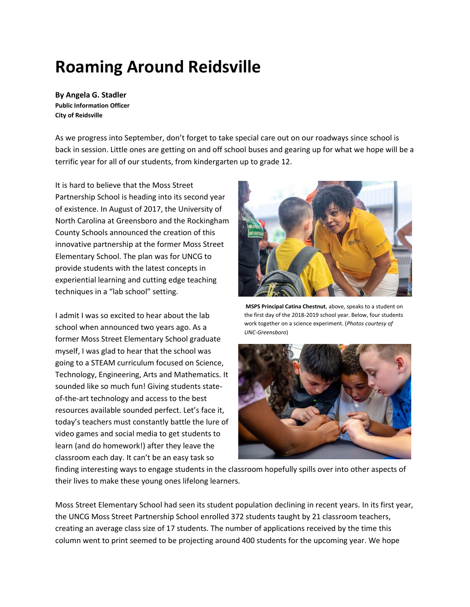## **Roaming Around Reidsville**

**By Angela G. Stadler Public Information Officer City of Reidsville**

As we progress into September, don't forget to take special care out on our roadways since school is back in session. Little ones are getting on and off school buses and gearing up for what we hope will be a terrific year for all of our students, from kindergarten up to grade 12.

It is hard to believe that the Moss Street Partnership School is heading into its second year of existence. In August of 2017, the University of North Carolina at Greensboro and the Rockingham County Schools announced the creation of this innovative partnership at the former Moss Street Elementary School. The plan was for UNCG to provide students with the latest concepts in experiential learning and cutting edge teaching techniques in a "lab school" setting.

I admit I was so excited to hear about the lab school when announced two years ago. As a former Moss Street Elementary School graduate myself, I was glad to hear that the school was going to a STEAM curriculum focused on Science, Technology, Engineering, Arts and Mathematics. It sounded like so much fun! Giving students stateof-the-art technology and access to the best resources available sounded perfect. Let's face it, today's teachers must constantly battle the lure of video games and social media to get students to learn (and do homework!) after they leave the classroom each day. It can't be an easy task so



**MSPS Principal Catina Chestnut**, above, speaks to a student on the first day of the 2018-2019 school year. Below, four students work together on a science experiment. (*Photos courtesy of UNC-Greensboro*)



finding interesting ways to engage students in the classroom hopefully spills over into other aspects of their lives to make these young ones lifelong learners.

Moss Street Elementary School had seen its student population declining in recent years. In its first year, the UNCG Moss Street Partnership School enrolled 372 students taught by 21 classroom teachers, creating an average class size of 17 students. The number of applications received by the time this column went to print seemed to be projecting around 400 students for the upcoming year. We hope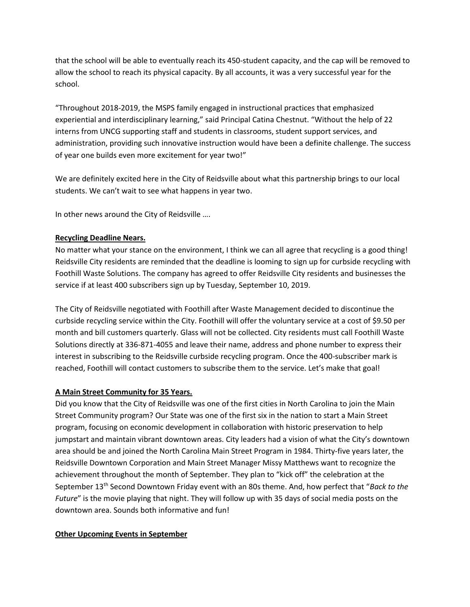that the school will be able to eventually reach its 450-student capacity, and the cap will be removed to allow the school to reach its physical capacity. By all accounts, it was a very successful year for the school.

"Throughout 2018-2019, the MSPS family engaged in instructional practices that emphasized experiential and interdisciplinary learning," said Principal Catina Chestnut. "Without the help of 22 interns from UNCG supporting staff and students in classrooms, student support services, and administration, providing such innovative instruction would have been a definite challenge. The success of year one builds even more excitement for year two!"

We are definitely excited here in the City of Reidsville about what this partnership brings to our local students. We can't wait to see what happens in year two.

In other news around the City of Reidsville ….

## **Recycling Deadline Nears.**

No matter what your stance on the environment, I think we can all agree that recycling is a good thing! Reidsville City residents are reminded that the deadline is looming to sign up for curbside recycling with Foothill Waste Solutions. The company has agreed to offer Reidsville City residents and businesses the service if at least 400 subscribers sign up by Tuesday, September 10, 2019.

The City of Reidsville negotiated with Foothill after Waste Management decided to discontinue the curbside recycling service within the City. Foothill will offer the voluntary service at a cost of \$9.50 per month and bill customers quarterly. Glass will not be collected. City residents must call Foothill Waste Solutions directly at 336-871-4055 and leave their name, address and phone number to express their interest in subscribing to the Reidsville curbside recycling program. Once the 400-subscriber mark is reached, Foothill will contact customers to subscribe them to the service. Let's make that goal!

## **A Main Street Community for 35 Years.**

Did you know that the City of Reidsville was one of the first cities in North Carolina to join the Main Street Community program? Our State was one of the first six in the nation to start a Main Street program, focusing on economic development in collaboration with historic preservation to help jumpstart and maintain vibrant downtown areas. City leaders had a vision of what the City's downtown area should be and joined the North Carolina Main Street Program in 1984. Thirty-five years later, the Reidsville Downtown Corporation and Main Street Manager Missy Matthews want to recognize the achievement throughout the month of September. They plan to "kick off" the celebration at the September 13th Second Downtown Friday event with an 80s theme. And, how perfect that "*Back to the Future*" is the movie playing that night. They will follow up with 35 days of social media posts on the downtown area. Sounds both informative and fun!

## **Other Upcoming Events in September**